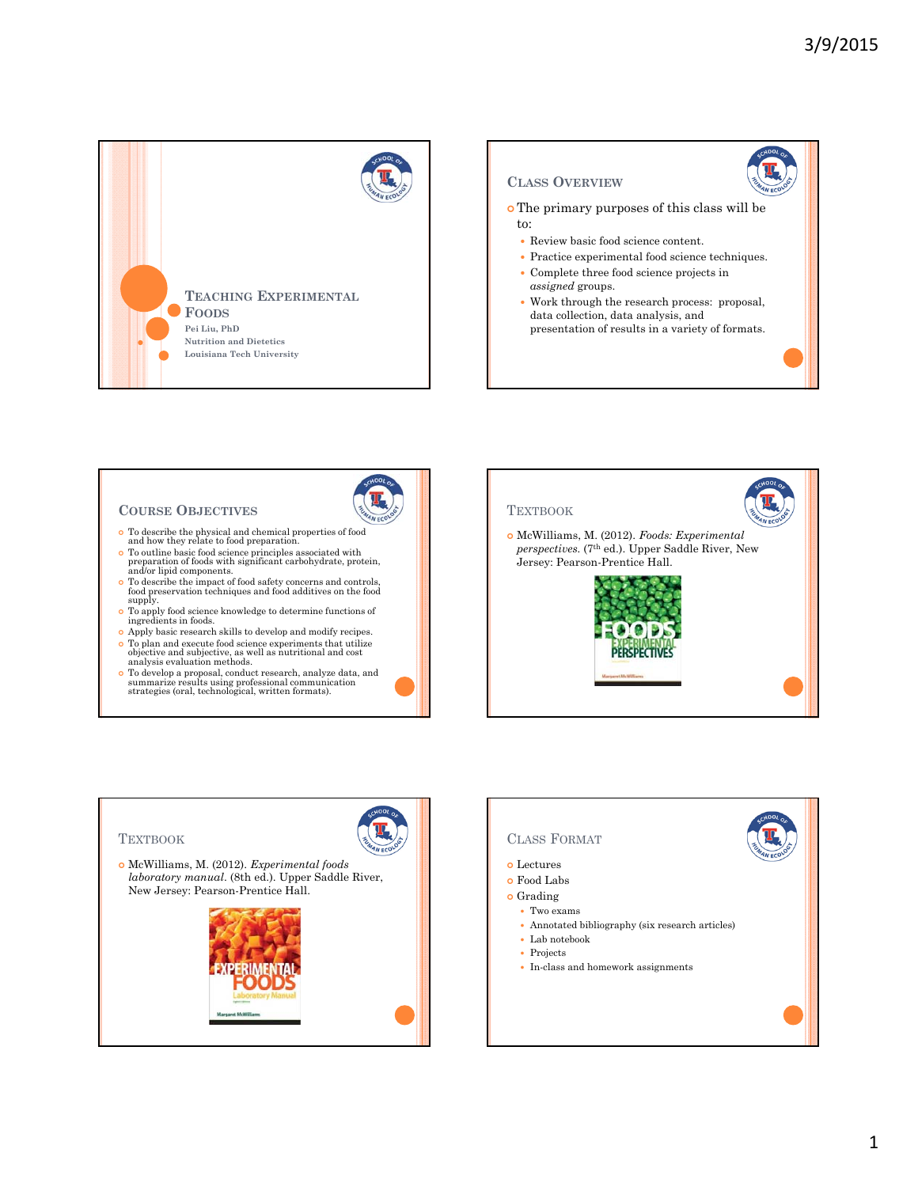

# **COURSE OBJECTIVES**

- To describe the physical and chemical properties of food and how they relate to food preparation.
- To outline basic food science principles associated with preparation of foods with significant carbohydrate, protein, and/or lipid components.
- To describe the impact of food safety concerns and controls, food preservation techniques and food additives on the food supply.
- To apply food science knowledge to determine functions of ingredients in foods.
- Apply basic research skills to develop and modify recipes. To plan and execute food science experiments that utilize objective and subjective, as well as nutritional and cost analysis evaluation methods.
- To develop a proposal, conduct research, analyze data, and summarize results using professional communication strategies (oral, technological, written formats).





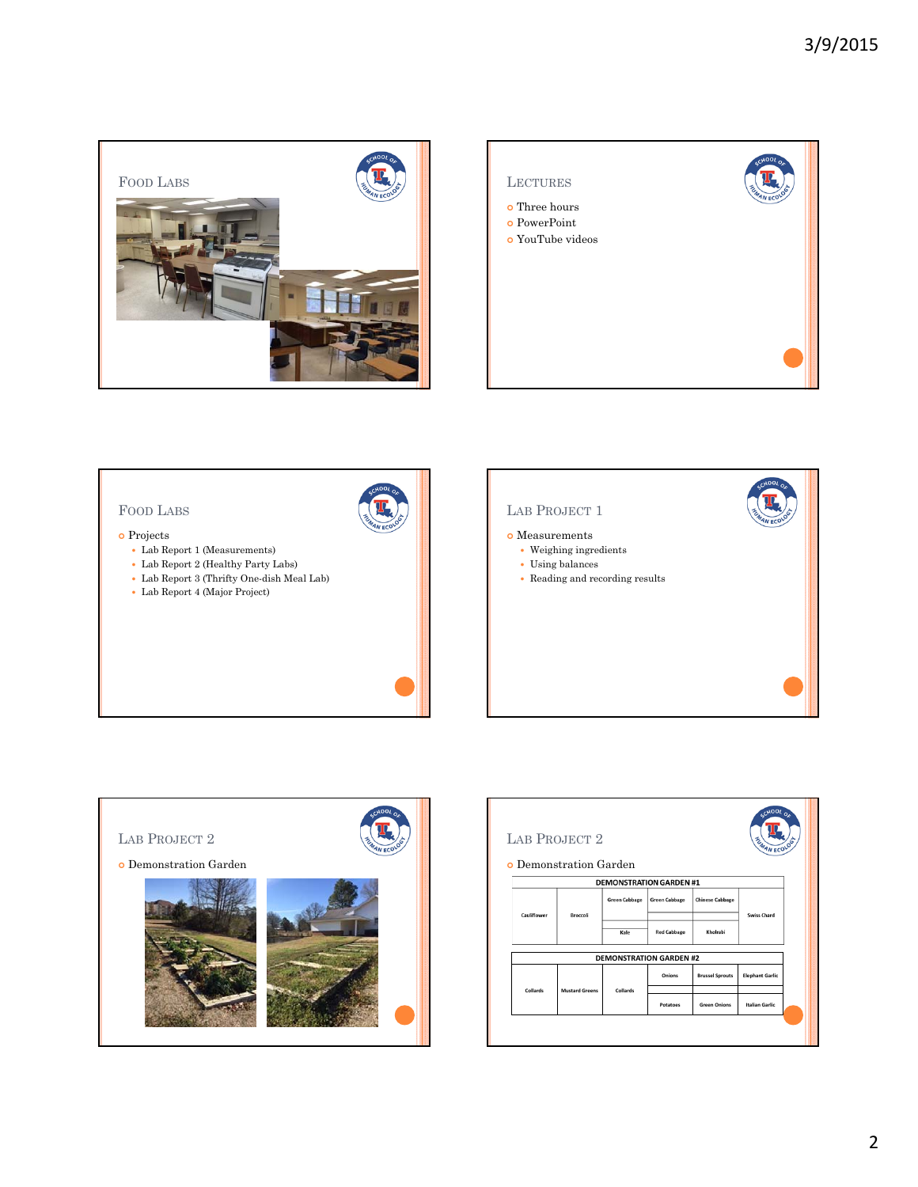







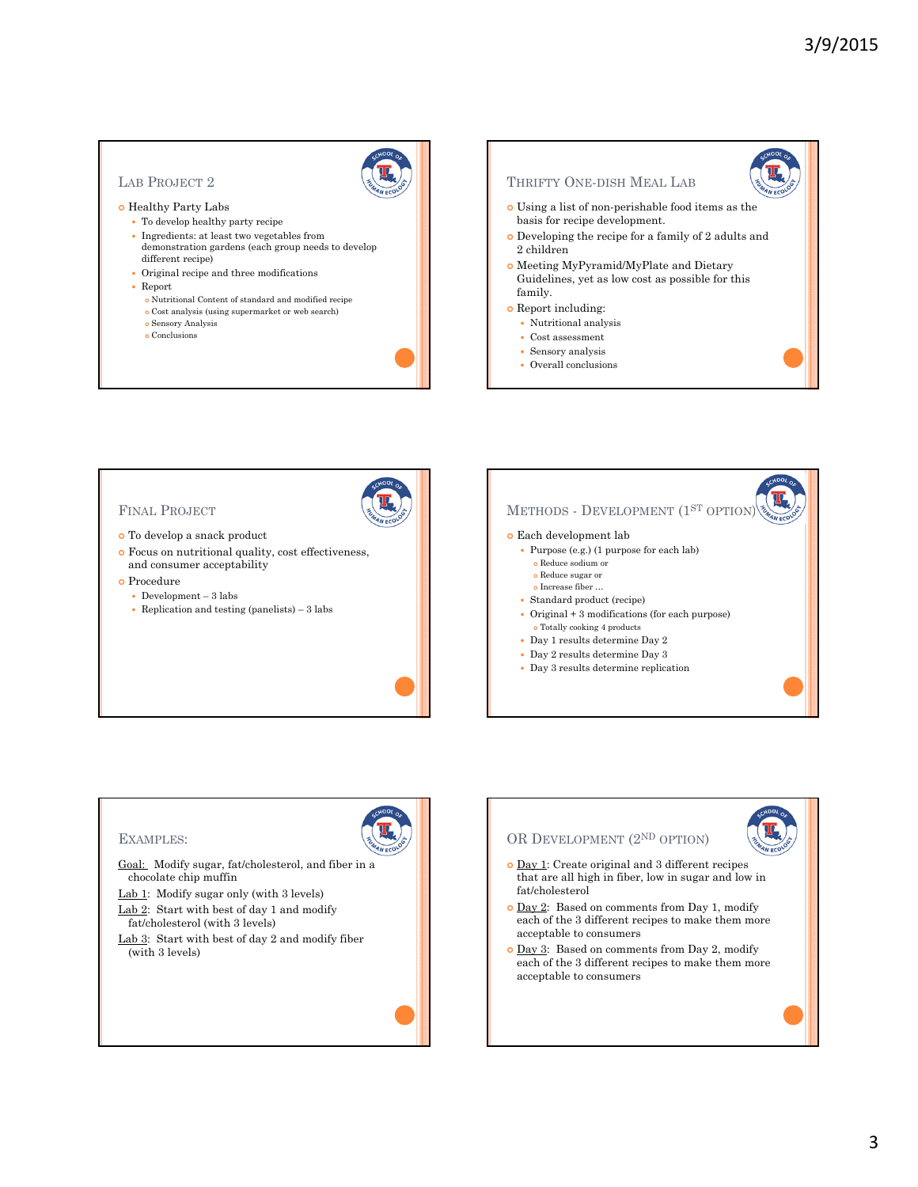# LAB PROJECT 2

#### o Healthy Party Labs

- To develop healthy party recipe
- $\bullet~$  Ingredients: at least two vegetables from demonstration gardens (each group needs to develop different recipe)
- Original recipe and three modifications
- Report
	- Nutritional Content of standard and modified recipe
	- $\bullet$  Cost analysis (using supermarket or web search)
	- Sensory Analysis
	- Conclusions







- fat/cholesterol (with 3 levels)
- Lab 3: Start with best of day 2 and modify fiber (with 3 levels)

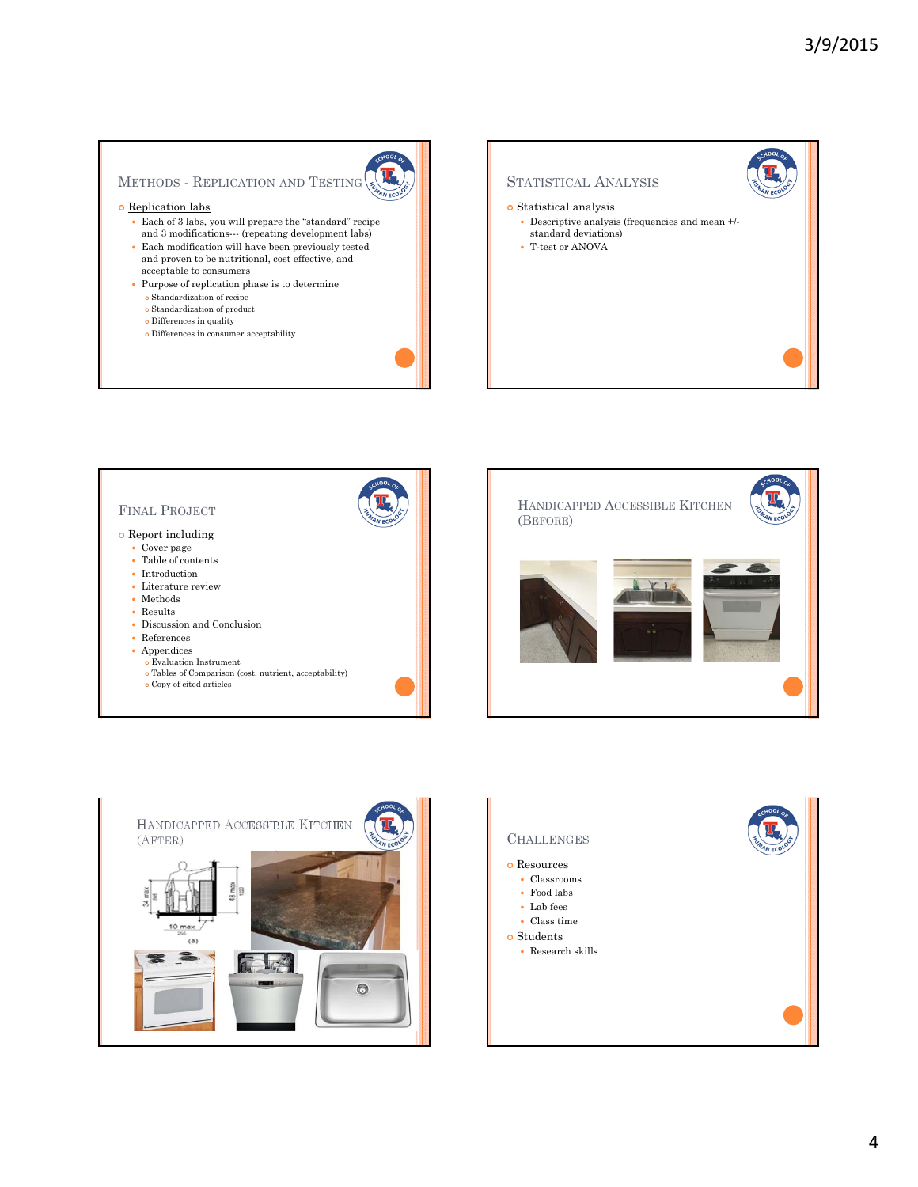# METHODS - REPLICATION AND TESTING

### o Replication labs

- Each of 3 labs, you will prepare the "standard" recipe and 3 modifications--- (repeating development labs)
- $\bullet~$  Each modification will have been previously tested and proven to be nutritional, cost effective, and acceptable to consumers
- Purpose of replication phase is to determine
	- Standardization of recipe
	- Standardization of product
	- Differences in quality
	- Differences in consumer acceptability

# STATISTICAL ANALYSIS  $\bullet$  Statistical analysis Descriptive analysis (frequencies and mean +/ standard deviations) T-test or ANOVA